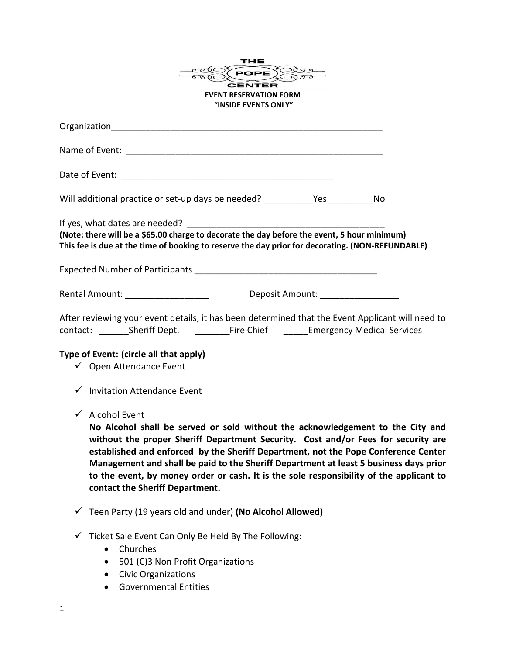| <b>EVENT RESERVATION FORM</b>                                                                                                                                                                   | THE<br>POPE SOL<br>"INSIDE EVENTS ONLY" |  |
|-------------------------------------------------------------------------------------------------------------------------------------------------------------------------------------------------|-----------------------------------------|--|
|                                                                                                                                                                                                 |                                         |  |
|                                                                                                                                                                                                 |                                         |  |
|                                                                                                                                                                                                 |                                         |  |
| Will additional practice or set-up days be needed? The Mo                                                                                                                                       |                                         |  |
| (Note: there will be a \$65.00 charge to decorate the day before the event, 5 hour minimum)<br>This fee is due at the time of booking to reserve the day prior for decorating. (NON-REFUNDABLE) |                                         |  |
|                                                                                                                                                                                                 |                                         |  |
| Rental Amount: <u>Contract Contract Community Deposit Amount:</u>                                                                                                                               |                                         |  |
| After reviewing your event details, it has been determined that the Event Applicant will need to                                                                                                |                                         |  |

## **Type of Event: (circle all that apply)**

- ✓ Open Attendance Event
- ✓ Invitation Attendance Event
- ✓ Alcohol Event

**No Alcohol shall be served or sold without the acknowledgement to the City and without the proper Sheriff Department Security. Cost and/or Fees for security are established and enforced by the Sheriff Department, not the Pope Conference Center Management and shall be paid to the Sheriff Department at least 5 business days prior to the event, by money order or cash. It is the sole responsibility of the applicant to contact the Sheriff Department.** 

- ✓ Teen Party (19 years old and under) **(No Alcohol Allowed)**
- $\checkmark$  Ticket Sale Event Can Only Be Held By The Following:
	- Churches
	- 501 (C)3 Non Profit Organizations
	- Civic Organizations
	- Governmental Entities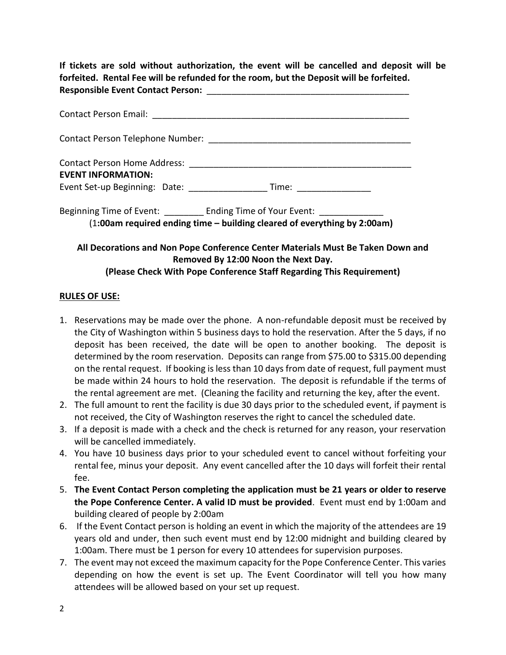**If tickets are sold without authorization, the event will be cancelled and deposit will be forfeited. Rental Fee will be refunded for the room, but the Deposit will be forfeited. Responsible Event Contact Person:** \_\_\_\_\_\_\_\_\_\_\_\_\_\_\_\_\_\_\_\_\_\_\_\_\_\_\_\_\_\_\_\_\_\_\_\_\_\_\_\_\_

| <b>EVENT INFORMATION:</b><br>Event Set-up Beginning: Date: _________________________Time: ___________________                   |
|---------------------------------------------------------------------------------------------------------------------------------|
| Beginning Time of Event: Ending Time of Your Event:<br>(1:00am required ending time - building cleared of everything by 2:00am) |
| All Decorations and Non Pope Conference Center Materials Must Be Taken Down and                                                 |

**Removed By 12:00 Noon the Next Day. (Please Check With Pope Conference Staff Regarding This Requirement)**

## **RULES OF USE:**

- 1. Reservations may be made over the phone. A non-refundable deposit must be received by the City of Washington within 5 business days to hold the reservation. After the 5 days, if no deposit has been received, the date will be open to another booking. The deposit is determined by the room reservation. Deposits can range from \$75.00 to \$315.00 depending on the rental request. If booking is less than 10 days from date of request, full payment must be made within 24 hours to hold the reservation. The deposit is refundable if the terms of the rental agreement are met. (Cleaning the facility and returning the key, after the event.
- 2. The full amount to rent the facility is due 30 days prior to the scheduled event, if payment is not received, the City of Washington reserves the right to cancel the scheduled date.
- 3. If a deposit is made with a check and the check is returned for any reason, your reservation will be cancelled immediately.
- 4. You have 10 business days prior to your scheduled event to cancel without forfeiting your rental fee, minus your deposit. Any event cancelled after the 10 days will forfeit their rental fee.
- 5. **The Event Contact Person completing the application must be 21 years or older to reserve the Pope Conference Center. A valid ID must be provided**. Event must end by 1:00am and building cleared of people by 2:00am
- 6. If the Event Contact person is holding an event in which the majority of the attendees are 19 years old and under, then such event must end by 12:00 midnight and building cleared by 1:00am. There must be 1 person for every 10 attendees for supervision purposes.
- 7. The event may not exceed the maximum capacity for the Pope Conference Center. This varies depending on how the event is set up. The Event Coordinator will tell you how many attendees will be allowed based on your set up request.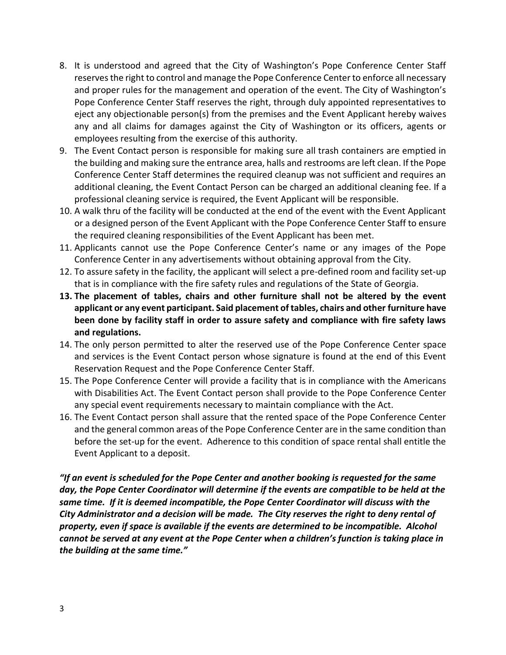- 8. It is understood and agreed that the City of Washington's Pope Conference Center Staff reserves the right to control and manage the Pope Conference Center to enforce all necessary and proper rules for the management and operation of the event. The City of Washington's Pope Conference Center Staff reserves the right, through duly appointed representatives to eject any objectionable person(s) from the premises and the Event Applicant hereby waives any and all claims for damages against the City of Washington or its officers, agents or employees resulting from the exercise of this authority.
- 9. The Event Contact person is responsible for making sure all trash containers are emptied in the building and making sure the entrance area, halls and restrooms are left clean. If the Pope Conference Center Staff determines the required cleanup was not sufficient and requires an additional cleaning, the Event Contact Person can be charged an additional cleaning fee. If a professional cleaning service is required, the Event Applicant will be responsible.
- 10. A walk thru of the facility will be conducted at the end of the event with the Event Applicant or a designed person of the Event Applicant with the Pope Conference Center Staff to ensure the required cleaning responsibilities of the Event Applicant has been met.
- 11. Applicants cannot use the Pope Conference Center's name or any images of the Pope Conference Center in any advertisements without obtaining approval from the City.
- 12. To assure safety in the facility, the applicant will select a pre-defined room and facility set-up that is in compliance with the fire safety rules and regulations of the State of Georgia.
- **13. The placement of tables, chairs and other furniture shall not be altered by the event applicant or any event participant. Said placement of tables, chairs and other furniture have been done by facility staff in order to assure safety and compliance with fire safety laws and regulations.**
- 14. The only person permitted to alter the reserved use of the Pope Conference Center space and services is the Event Contact person whose signature is found at the end of this Event Reservation Request and the Pope Conference Center Staff.
- 15. The Pope Conference Center will provide a facility that is in compliance with the Americans with Disabilities Act. The Event Contact person shall provide to the Pope Conference Center any special event requirements necessary to maintain compliance with the Act.
- 16. The Event Contact person shall assure that the rented space of the Pope Conference Center and the general common areas of the Pope Conference Center are in the same condition than before the set-up for the event. Adherence to this condition of space rental shall entitle the Event Applicant to a deposit.

*"If an event is scheduled for the Pope Center and another booking is requested for the same day, the Pope Center Coordinator will determine if the events are compatible to be held at the same time. If it is deemed incompatible, the Pope Center Coordinator will discuss with the City Administrator and a decision will be made. The City reserves the right to deny rental of property, even if space is available if the events are determined to be incompatible. Alcohol cannot be served at any event at the Pope Center when a children's function is taking place in the building at the same time."*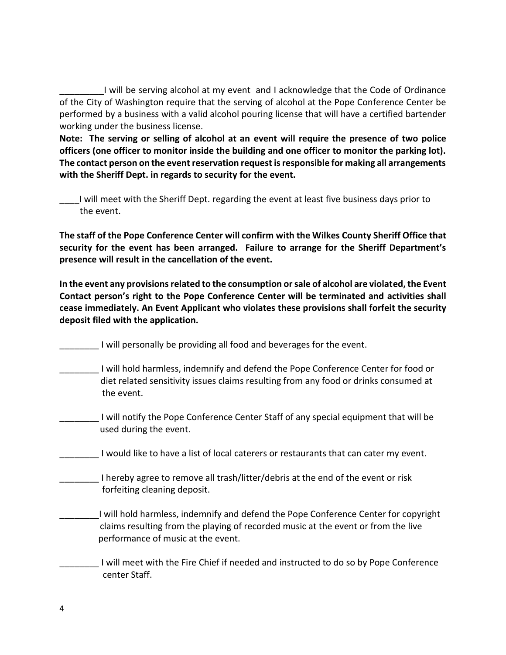I will be serving alcohol at my event and I acknowledge that the Code of Ordinance of the City of Washington require that the serving of alcohol at the Pope Conference Center be performed by a business with a valid alcohol pouring license that will have a certified bartender working under the business license.

**Note: The serving or selling of alcohol at an event will require the presence of two police officers (one officer to monitor inside the building and one officer to monitor the parking lot). The contact person on the event reservation request is responsible for making all arrangements with the Sheriff Dept. in regards to security for the event.**

\_\_\_\_I will meet with the Sheriff Dept. regarding the event at least five business days prior to the event.

**The staff of the Pope Conference Center will confirm with the Wilkes County Sheriff Office that security for the event has been arranged. Failure to arrange for the Sheriff Department's presence will result in the cancellation of the event.**

**In the event any provisions related to the consumption or sale of alcohol are violated, the Event Contact person's right to the Pope Conference Center will be terminated and activities shall cease immediately. An Event Applicant who violates these provisions shall forfeit the security deposit filed with the application.** 

\_\_\_\_\_\_\_\_ I will personally be providing all food and beverages for the event.

- \_\_\_\_\_\_\_\_ I will hold harmless, indemnify and defend the Pope Conference Center for food or diet related sensitivity issues claims resulting from any food or drinks consumed at the event.
- \_\_\_\_\_\_\_\_ I will notify the Pope Conference Center Staff of any special equipment that will be used during the event.

I would like to have a list of local caterers or restaurants that can cater my event.

I hereby agree to remove all trash/litter/debris at the end of the event or risk forfeiting cleaning deposit.

I will hold harmless, indemnify and defend the Pope Conference Center for copyright claims resulting from the playing of recorded music at the event or from the live performance of music at the event.

\_\_\_\_\_\_\_\_ I will meet with the Fire Chief if needed and instructed to do so by Pope Conference center Staff.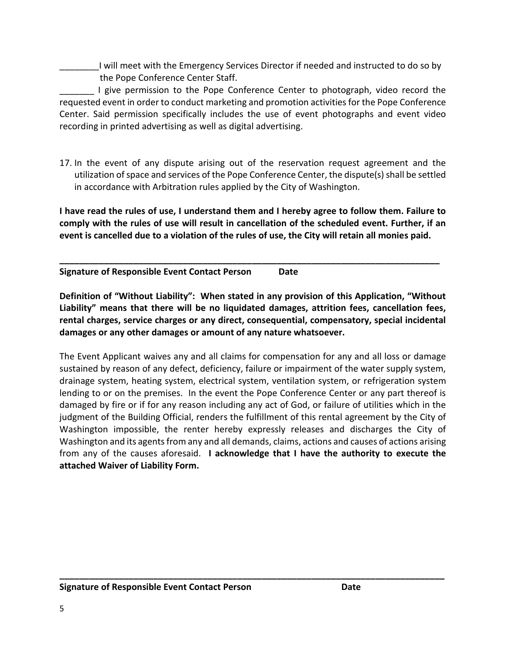I will meet with the Emergency Services Director if needed and instructed to do so by the Pope Conference Center Staff.

I give permission to the Pope Conference Center to photograph, video record the requested event in order to conduct marketing and promotion activities for the Pope Conference Center. Said permission specifically includes the use of event photographs and event video recording in printed advertising as well as digital advertising.

17. In the event of any dispute arising out of the reservation request agreement and the utilization of space and services of the Pope Conference Center, the dispute(s) shall be settled in accordance with Arbitration rules applied by the City of Washington.

**I have read the rules of use, I understand them and I hereby agree to follow them. Failure to comply with the rules of use will result in cancellation of the scheduled event. Further, if an event is cancelled due to a violation of the rules of use, the City will retain all monies paid.**

**\_\_\_\_\_\_\_\_\_\_\_\_\_\_\_\_\_\_\_\_\_\_\_\_\_\_\_\_\_\_\_\_\_\_\_\_\_\_\_\_\_\_\_\_\_\_\_\_\_\_\_\_\_\_\_\_\_\_\_\_\_\_\_\_\_\_\_\_\_\_\_\_\_\_\_\_\_**

**Signature of Responsible Event Contact Person Date**

**Definition of "Without Liability": When stated in any provision of this Application, "Without Liability" means that there will be no liquidated damages, attrition fees, cancellation fees, rental charges, service charges or any direct, consequential, compensatory, special incidental damages or any other damages or amount of any nature whatsoever.**

The Event Applicant waives any and all claims for compensation for any and all loss or damage sustained by reason of any defect, deficiency, failure or impairment of the water supply system, drainage system, heating system, electrical system, ventilation system, or refrigeration system lending to or on the premises. In the event the Pope Conference Center or any part thereof is damaged by fire or if for any reason including any act of God, or failure of utilities which in the judgment of the Building Official, renders the fulfillment of this rental agreement by the City of Washington impossible, the renter hereby expressly releases and discharges the City of Washington and its agents from any and all demands, claims, actions and causes of actions arising from any of the causes aforesaid. **I acknowledge that I have the authority to execute the attached Waiver of Liability Form.**

**\_\_\_\_\_\_\_\_\_\_\_\_\_\_\_\_\_\_\_\_\_\_\_\_\_\_\_\_\_\_\_\_\_\_\_\_\_\_\_\_\_\_\_\_\_\_\_\_\_\_\_\_\_\_\_\_\_\_\_\_\_\_\_\_\_\_\_\_\_\_\_\_\_\_\_\_\_\_**